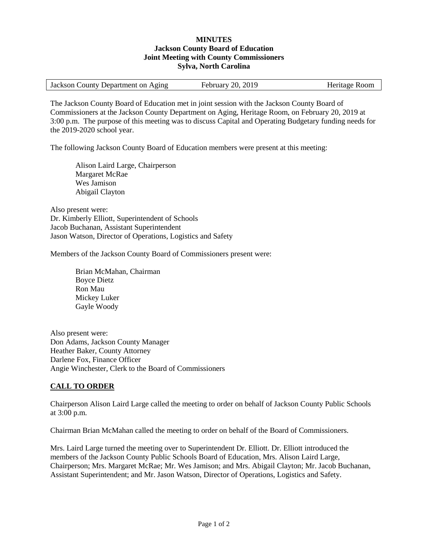## **MINUTES Jackson County Board of Education Joint Meeting with County Commissioners Sylva, North Carolina**

| Jackson County Department on Aging | February 20, 2019 | Heritage Room |
|------------------------------------|-------------------|---------------|
|                                    |                   |               |

The Jackson County Board of Education met in joint session with the Jackson County Board of Commissioners at the Jackson County Department on Aging, Heritage Room, on February 20, 2019 at 3:00 p.m. The purpose of this meeting was to discuss Capital and Operating Budgetary funding needs for the 2019-2020 school year.

The following Jackson County Board of Education members were present at this meeting:

Alison Laird Large, Chairperson Margaret McRae Wes Jamison Abigail Clayton

Also present were: Dr. Kimberly Elliott, Superintendent of Schools Jacob Buchanan, Assistant Superintendent Jason Watson, Director of Operations, Logistics and Safety

Members of the Jackson County Board of Commissioners present were:

Brian McMahan, Chairman Boyce Dietz Ron Mau Mickey Luker Gayle Woody

Also present were: Don Adams, Jackson County Manager Heather Baker, County Attorney Darlene Fox, Finance Officer Angie Winchester, Clerk to the Board of Commissioners

## **CALL TO ORDER**

Chairperson Alison Laird Large called the meeting to order on behalf of Jackson County Public Schools at 3:00 p.m.

Chairman Brian McMahan called the meeting to order on behalf of the Board of Commissioners.

Mrs. Laird Large turned the meeting over to Superintendent Dr. Elliott. Dr. Elliott introduced the members of the Jackson County Public Schools Board of Education, Mrs. Alison Laird Large, Chairperson; Mrs. Margaret McRae; Mr. Wes Jamison; and Mrs. Abigail Clayton; Mr. Jacob Buchanan, Assistant Superintendent; and Mr. Jason Watson, Director of Operations, Logistics and Safety.